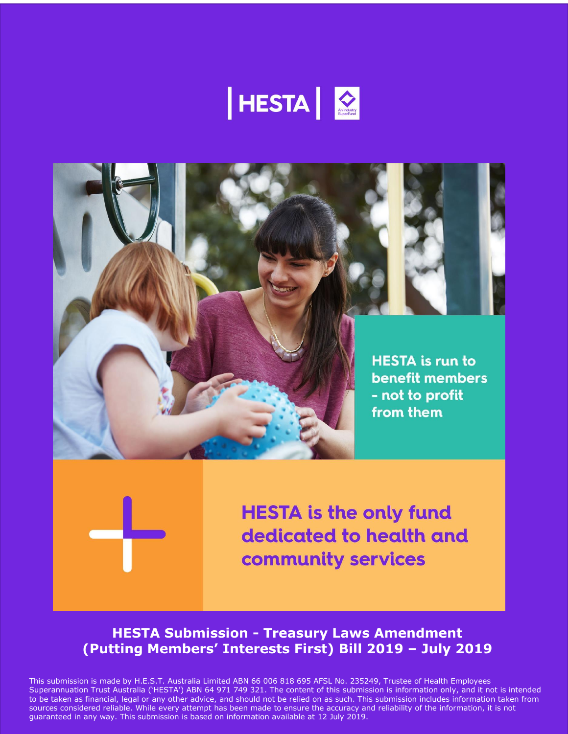





**HESTA is the only fund** dedicated to health and community services

# **HESTA Submission - Treasury Laws Amendment (Putting Members' Interests First) Bill 2019 – July 2019**

This submission is made by H.E.S.T. Australia Limited ABN 66 006 818 695 AFSL No. 235249, Trustee of Health Employees Superannuation Trust Australia ('HESTA') ABN 64 971 749 321. The content of this submission is information only, and it not is intended to be taken as financial, legal or any other advice, and should not be relied on as such. This submission includes information taken from sources considered reliable. While every attempt has been made to ensure the accuracy and reliability of the information, it is not guaranteed in any way. This submission is based on information available at 12 July 2019.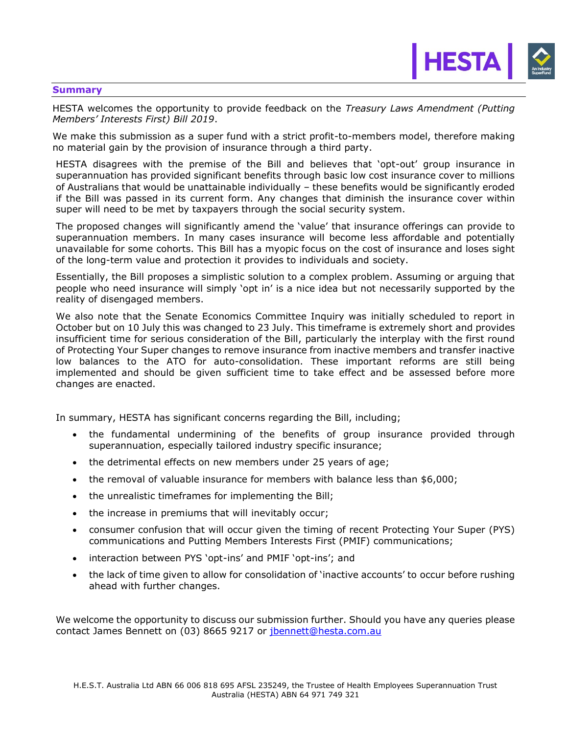## **Summary**

HESTA welcomes the opportunity to provide feedback on the *Treasury Laws Amendment (Putting Members' Interests First) Bill 2019*.

HESTA  $\bigcirc$ 

We make this submission as a super fund with a strict profit-to-members model, therefore making no material gain by the provision of insurance through a third party.

HESTA disagrees with the premise of the Bill and believes that 'opt-out' group insurance in superannuation has provided significant benefits through basic low cost insurance cover to millions of Australians that would be unattainable individually – these benefits would be significantly eroded if the Bill was passed in its current form. Any changes that diminish the insurance cover within super will need to be met by taxpayers through the social security system.

The proposed changes will significantly amend the 'value' that insurance offerings can provide to superannuation members. In many cases insurance will become less affordable and potentially unavailable for some cohorts. This Bill has a myopic focus on the cost of insurance and loses sight of the long-term value and protection it provides to individuals and society.

Essentially, the Bill proposes a simplistic solution to a complex problem. Assuming or arguing that people who need insurance will simply 'opt in' is a nice idea but not necessarily supported by the reality of disengaged members.

We also note that the Senate Economics Committee Inquiry was initially scheduled to report in October but on 10 July this was changed to 23 July. This timeframe is extremely short and provides insufficient time for serious consideration of the Bill, particularly the interplay with the first round of Protecting Your Super changes to remove insurance from inactive members and transfer inactive low balances to the ATO for auto-consolidation. These important reforms are still being implemented and should be given sufficient time to take effect and be assessed before more changes are enacted.

In summary, HESTA has significant concerns regarding the Bill, including;

- the fundamental undermining of the benefits of group insurance provided through superannuation, especially tailored industry specific insurance;
- the detrimental effects on new members under 25 years of age;
- the removal of valuable insurance for members with balance less than \$6,000;
- the unrealistic timeframes for implementing the Bill;
- the increase in premiums that will inevitably occur;
- consumer confusion that will occur given the timing of recent Protecting Your Super (PYS) communications and Putting Members Interests First (PMIF) communications;
- interaction between PYS 'opt-ins' and PMIF 'opt-ins'; and
- the lack of time given to allow for consolidation of 'inactive accounts' to occur before rushing ahead with further changes.

We welcome the opportunity to discuss our submission further. Should you have any queries please contact James Bennett on (03) 8665 9217 or [jbennett@hesta.com.au](mailto:jbennett@hesta.com.au)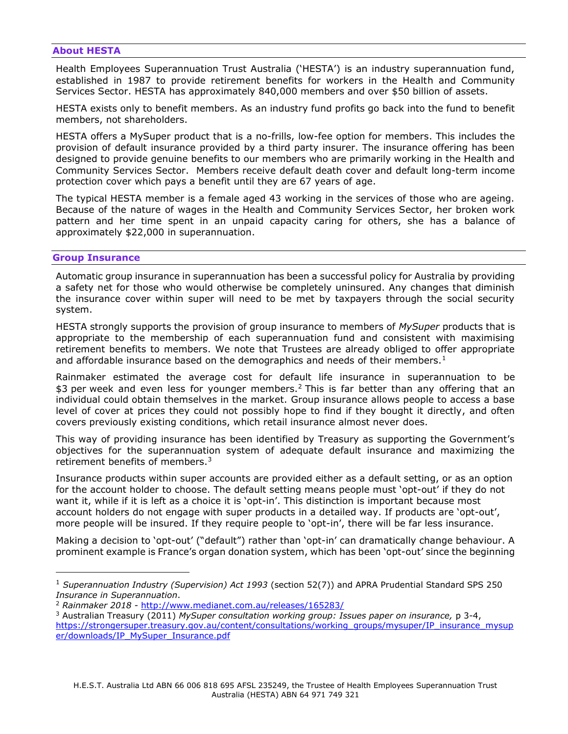## **About HESTA**

Health Employees Superannuation Trust Australia ('HESTA') is an industry superannuation fund, established in 1987 to provide retirement benefits for workers in the Health and Community Services Sector. HESTA has approximately 840,000 members and over \$50 billion of assets.

HESTA exists only to benefit members. As an industry fund profits go back into the fund to benefit members, not shareholders.

HESTA offers a MySuper product that is a no-frills, low-fee option for members. This includes the provision of default insurance provided by a third party insurer. The insurance offering has been designed to provide genuine benefits to our members who are primarily working in the Health and Community Services Sector. Members receive default death cover and default long-term income protection cover which pays a benefit until they are 67 years of age.

The typical HESTA member is a female aged 43 working in the services of those who are ageing. Because of the nature of wages in the Health and Community Services Sector, her broken work pattern and her time spent in an unpaid capacity caring for others, she has a balance of approximately \$22,000 in superannuation.

## **Group Insurance**

ı

Automatic group insurance in superannuation has been a successful policy for Australia by providing a safety net for those who would otherwise be completely uninsured. Any changes that diminish the insurance cover within super will need to be met by taxpayers through the social security system.

HESTA strongly supports the provision of group insurance to members of *MySuper* products that is appropriate to the membership of each superannuation fund and consistent with maximising retirement benefits to members. We note that Trustees are already obliged to offer appropriate and affordable insurance based on the demographics and needs of their members.<sup>1</sup>

Rainmaker estimated the average cost for default life insurance in superannuation to be \$3 per week and even less for younger members.<sup>2</sup> This is far better than any offering that an individual could obtain themselves in the market. Group insurance allows people to access a base level of cover at prices they could not possibly hope to find if they bought it directly, and often covers previously existing conditions, which retail insurance almost never does.

This way of providing insurance has been identified by Treasury as supporting the Government's objectives for the superannuation system of adequate default insurance and maximizing the retirement benefits of members.<sup>3</sup>

Insurance products within super accounts are provided either as a default setting, or as an option for the account holder to choose. The default setting means people must 'opt-out' if they do not want it, while if it is left as a choice it is 'opt-in'. This distinction is important because most account holders do not engage with super products in a detailed way. If products are 'opt-out', more people will be insured. If they require people to 'opt-in', there will be far less insurance.

Making a decision to 'opt-out' ("default") rather than 'opt-in' can dramatically change behaviour. A prominent example is France's organ donation system, which has been 'opt-out' since the beginning

<sup>1</sup> *Superannuation Industry (Supervision) Act 1993* (section 52(7)) and APRA Prudential Standard SPS 250 *Insurance in Superannuation*.

<sup>2</sup> *Rainmaker 2018* - <http://www.medianet.com.au/releases/165283/>

<sup>3</sup> Australian Treasury (2011) *MySuper consultation working group: Issues paper on insurance,* p 3-4, [https://strongersuper.treasury.gov.au/content/consultations/working\\_groups/mysuper/IP\\_insurance\\_mysup](https://strongersuper.treasury.gov.au/content/consultations/working_groups/mysuper/IP_insurance_mysuper/downloads/IP_MySuper_Insurance.pdf) [er/downloads/IP\\_MySuper\\_Insurance.pdf](https://strongersuper.treasury.gov.au/content/consultations/working_groups/mysuper/IP_insurance_mysuper/downloads/IP_MySuper_Insurance.pdf)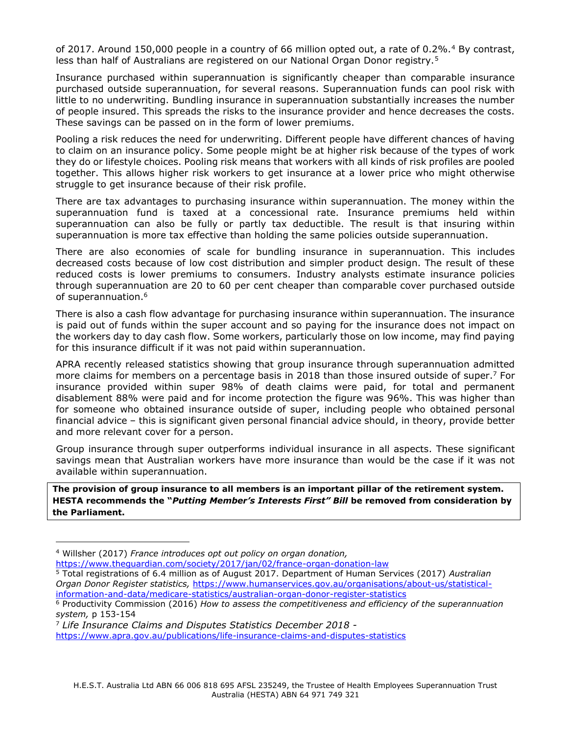of 2017. Around 150,000 people in a country of 66 million opted out, a rate of 0.2%.<sup>4</sup> By contrast, less than half of Australians are registered on our National Organ Donor registry.<sup>5</sup>

Insurance purchased within superannuation is significantly cheaper than comparable insurance purchased outside superannuation, for several reasons. Superannuation funds can pool risk with little to no underwriting. Bundling insurance in superannuation substantially increases the number of people insured. This spreads the risks to the insurance provider and hence decreases the costs. These savings can be passed on in the form of lower premiums.

Pooling a risk reduces the need for underwriting. Different people have different chances of having to claim on an insurance policy. Some people might be at higher risk because of the types of work they do or lifestyle choices. Pooling risk means that workers with all kinds of risk profiles are pooled together. This allows higher risk workers to get insurance at a lower price who might otherwise struggle to get insurance because of their risk profile.

There are tax advantages to purchasing insurance within superannuation. The money within the superannuation fund is taxed at a concessional rate. Insurance premiums held within superannuation can also be fully or partly tax deductible. The result is that insuring within superannuation is more tax effective than holding the same policies outside superannuation.

There are also economies of scale for bundling insurance in superannuation. This includes decreased costs because of low cost distribution and simpler product design. The result of these reduced costs is lower premiums to consumers. Industry analysts estimate insurance policies through superannuation are 20 to 60 per cent cheaper than comparable cover purchased outside of superannuation.<sup>6</sup>

There is also a cash flow advantage for purchasing insurance within superannuation. The insurance is paid out of funds within the super account and so paying for the insurance does not impact on the workers day to day cash flow. Some workers, particularly those on low income, may find paying for this insurance difficult if it was not paid within superannuation.

APRA recently released statistics showing that group insurance through superannuation admitted more claims for members on a percentage basis in 2018 than those insured outside of super.<sup>7</sup> For insurance provided within super 98% of death claims were paid, for total and permanent disablement 88% were paid and for income protection the figure was 96%. This was higher than for someone who obtained insurance outside of super, including people who obtained personal financial advice – this is significant given personal financial advice should, in theory, provide better and more relevant cover for a person.

Group insurance through super outperforms individual insurance in all aspects. These significant savings mean that Australian workers have more insurance than would be the case if it was not available within superannuation.

**The provision of group insurance to all members is an important pillar of the retirement system. HESTA recommends the "***Putting Member's Interests First" Bill* **be removed from consideration by the Parliament.**

ı

<sup>4</sup> Willsher (2017) *France introduces opt out policy on organ donation,* 

<https://www.theguardian.com/society/2017/jan/02/france-organ-donation-law>

<sup>5</sup> Total registrations of 6.4 million as of August 2017. Department of Human Services (2017) *Australian Organ Donor Register statistics,* [https://www.humanservices.gov.au/organisations/about-us/statistical](https://www.humanservices.gov.au/organisations/about-us/statistical-information-and-data/medicare-statistics/australian-organ-donor-register-statistics)[information-and-data/medicare-statistics/australian-organ-donor-register-statistics](https://www.humanservices.gov.au/organisations/about-us/statistical-information-and-data/medicare-statistics/australian-organ-donor-register-statistics)

<sup>6</sup> Productivity Commission (2016) *How to assess the competitiveness and efficiency of the superannuation system,* p 153-154

<sup>7</sup> *Life Insurance Claims and Disputes Statistics December 2018*  <https://www.apra.gov.au/publications/life-insurance-claims-and-disputes-statistics>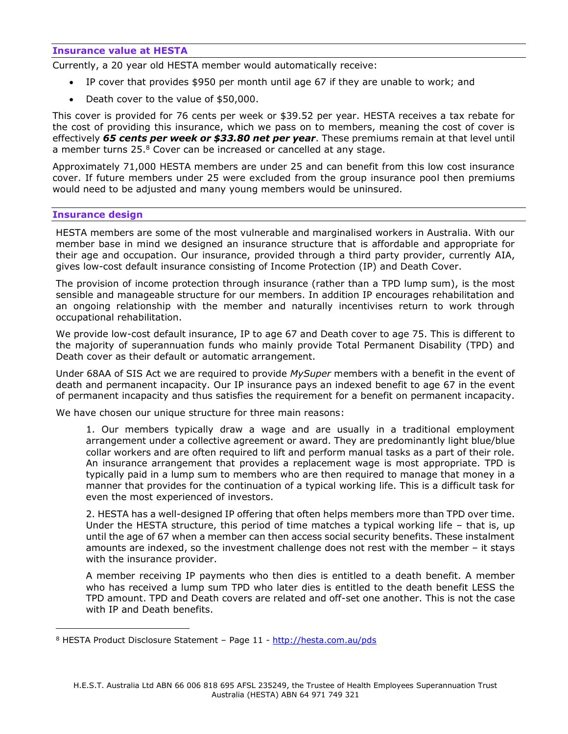## **Insurance value at HESTA**

Currently, a 20 year old HESTA member would automatically receive:

- IP cover that provides \$950 per month until age 67 if they are unable to work; and
- Death cover to the value of \$50,000.

This cover is provided for 76 cents per week or \$39.52 per year. HESTA receives a tax rebate for the cost of providing this insurance, which we pass on to members, meaning the cost of cover is effectively *65 cents per week or \$33.80 net per year*. These premiums remain at that level until a member turns  $25.8$  Cover can be increased or cancelled at any stage.

Approximately 71,000 HESTA members are under 25 and can benefit from this low cost insurance cover. If future members under 25 were excluded from the group insurance pool then premiums would need to be adjusted and many young members would be uninsured.

#### **Insurance design**

ı

HESTA members are some of the most vulnerable and marginalised workers in Australia. With our member base in mind we designed an insurance structure that is affordable and appropriate for their age and occupation. Our insurance, provided through a third party provider, currently AIA, gives low-cost default insurance consisting of Income Protection (IP) and Death Cover.

The provision of income protection through insurance (rather than a TPD lump sum), is the most sensible and manageable structure for our members. In addition IP encourages rehabilitation and an ongoing relationship with the member and naturally incentivises return to work through occupational rehabilitation.

We provide low-cost default insurance, IP to age 67 and Death cover to age 75. This is different to the majority of superannuation funds who mainly provide Total Permanent Disability (TPD) and Death cover as their default or automatic arrangement.

Under 68AA of SIS Act we are required to provide *MySuper* members with a benefit in the event of death and permanent incapacity. Our IP insurance pays an indexed benefit to age 67 in the event of permanent incapacity and thus satisfies the requirement for a benefit on permanent incapacity.

We have chosen our unique structure for three main reasons:

1. Our members typically draw a wage and are usually in a traditional employment arrangement under a collective agreement or award. They are predominantly light blue/blue collar workers and are often required to lift and perform manual tasks as a part of their role. An insurance arrangement that provides a replacement wage is most appropriate. TPD is typically paid in a lump sum to members who are then required to manage that money in a manner that provides for the continuation of a typical working life. This is a difficult task for even the most experienced of investors.

2. HESTA has a well-designed IP offering that often helps members more than TPD over time. Under the HESTA structure, this period of time matches a typical working life – that is, up until the age of 67 when a member can then access social security benefits. These instalment amounts are indexed, so the investment challenge does not rest with the member – it stays with the insurance provider.

A member receiving IP payments who then dies is entitled to a death benefit. A member who has received a lump sum TPD who later dies is entitled to the death benefit LESS the TPD amount. TPD and Death covers are related and off-set one another. This is not the case with IP and Death benefits.

<sup>&</sup>lt;sup>8</sup> HESTA Product Disclosure Statement – Page 11 - <http://hesta.com.au/pds>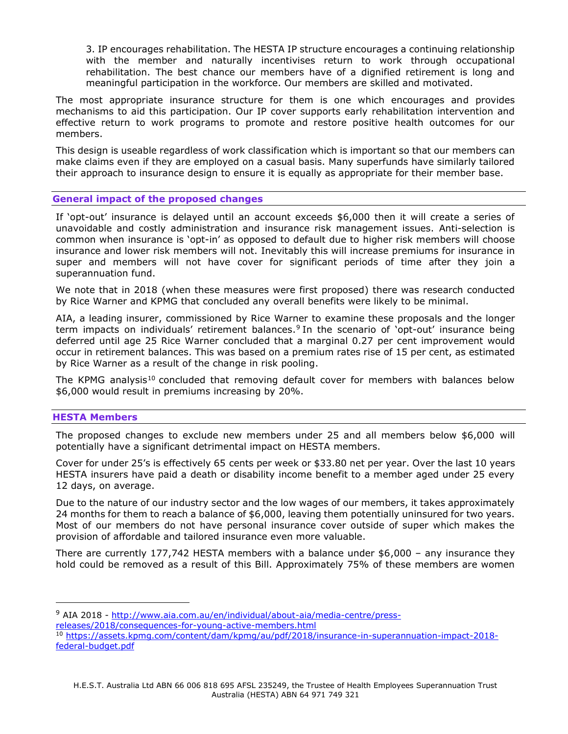3. IP encourages rehabilitation. The HESTA IP structure encourages a continuing relationship with the member and naturally incentivises return to work through occupational rehabilitation. The best chance our members have of a dignified retirement is long and meaningful participation in the workforce. Our members are skilled and motivated.

The most appropriate insurance structure for them is one which encourages and provides mechanisms to aid this participation. Our IP cover supports early rehabilitation intervention and effective return to work programs to promote and restore positive health outcomes for our members.

This design is useable regardless of work classification which is important so that our members can make claims even if they are employed on a casual basis. Many superfunds have similarly tailored their approach to insurance design to ensure it is equally as appropriate for their member base.

## **General impact of the proposed changes**

If 'opt-out' insurance is delayed until an account exceeds \$6,000 then it will create a series of unavoidable and costly administration and insurance risk management issues. Anti-selection is common when insurance is 'opt-in' as opposed to default due to higher risk members will choose insurance and lower risk members will not. Inevitably this will increase premiums for insurance in super and members will not have cover for significant periods of time after they join a superannuation fund.

We note that in 2018 (when these measures were first proposed) there was research conducted by Rice Warner and KPMG that concluded any overall benefits were likely to be minimal.

AIA, a leading insurer, commissioned by Rice Warner to examine these proposals and the longer term impacts on individuals' retirement balances.<sup>9</sup> In the scenario of 'opt-out' insurance being deferred until age 25 Rice Warner concluded that a marginal 0.27 per cent improvement would occur in retirement balances. This was based on a premium rates rise of 15 per cent, as estimated by Rice Warner as a result of the change in risk pooling.

The KPMG analysis<sup>10</sup> concluded that removing default cover for members with balances below \$6,000 would result in premiums increasing by 20%.

## **HESTA Members**

ı

The proposed changes to exclude new members under 25 and all members below \$6,000 will potentially have a significant detrimental impact on HESTA members.

Cover for under 25's is effectively 65 cents per week or \$33.80 net per year. Over the last 10 years HESTA insurers have paid a death or disability income benefit to a member aged under 25 every 12 days, on average.

Due to the nature of our industry sector and the low wages of our members, it takes approximately 24 months for them to reach a balance of \$6,000, leaving them potentially uninsured for two years. Most of our members do not have personal insurance cover outside of super which makes the provision of affordable and tailored insurance even more valuable.

There are currently 177,742 HESTA members with a balance under \$6,000 – any insurance they hold could be removed as a result of this Bill. Approximately 75% of these members are women

<sup>9</sup> AIA 2018 - [http://www.aia.com.au/en/individual/about-aia/media-centre/press-](http://www.aia.com.au/en/individual/about-aia/media-centre/press-releases/2018/consequences-for-young-active-members.html)

[releases/2018/consequences-for-young-active-members.html](http://www.aia.com.au/en/individual/about-aia/media-centre/press-releases/2018/consequences-for-young-active-members.html)

<sup>10</sup> [https://assets.kpmg.com/content/dam/kpmg/au/pdf/2018/insurance-in-superannuation-impact-2018](https://assets.kpmg.com/content/dam/kpmg/au/pdf/2018/insurance-in-superannuation-impact-2018-federal-budget.pdf) [federal-budget.pdf](https://assets.kpmg.com/content/dam/kpmg/au/pdf/2018/insurance-in-superannuation-impact-2018-federal-budget.pdf)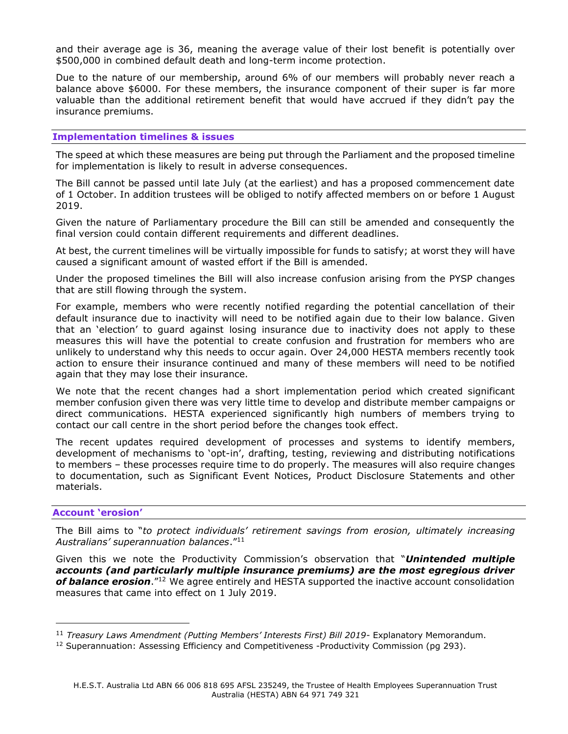and their average age is 36, meaning the average value of their lost benefit is potentially over \$500,000 in combined default death and long-term income protection.

Due to the nature of our membership, around 6% of our members will probably never reach a balance above \$6000. For these members, the insurance component of their super is far more valuable than the additional retirement benefit that would have accrued if they didn't pay the insurance premiums.

## **Implementation timelines & issues**

The speed at which these measures are being put through the Parliament and the proposed timeline for implementation is likely to result in adverse consequences.

The Bill cannot be passed until late July (at the earliest) and has a proposed commencement date of 1 October. In addition trustees will be obliged to notify affected members on or before 1 August 2019.

Given the nature of Parliamentary procedure the Bill can still be amended and consequently the final version could contain different requirements and different deadlines.

At best, the current timelines will be virtually impossible for funds to satisfy; at worst they will have caused a significant amount of wasted effort if the Bill is amended.

Under the proposed timelines the Bill will also increase confusion arising from the PYSP changes that are still flowing through the system.

For example, members who were recently notified regarding the potential cancellation of their default insurance due to inactivity will need to be notified again due to their low balance. Given that an 'election' to guard against losing insurance due to inactivity does not apply to these measures this will have the potential to create confusion and frustration for members who are unlikely to understand why this needs to occur again. Over 24,000 HESTA members recently took action to ensure their insurance continued and many of these members will need to be notified again that they may lose their insurance.

We note that the recent changes had a short implementation period which created significant member confusion given there was very little time to develop and distribute member campaigns or direct communications. HESTA experienced significantly high numbers of members trying to contact our call centre in the short period before the changes took effect.

The recent updates required development of processes and systems to identify members, development of mechanisms to 'opt-in', drafting, testing, reviewing and distributing notifications to members – these processes require time to do properly. The measures will also require changes to documentation, such as Significant Event Notices, Product Disclosure Statements and other materials.

## **Account 'erosion'**

ı

The Bill aims to "*to protect individuals' retirement savings from erosion, ultimately increasing Australians' superannuation balances*." 11

Given this we note the Productivity Commission's observation that "*Unintended multiple accounts (and particularly multiple insurance premiums) are the most egregious driver*  of **balance erosion**.<sup>"12</sup> We agree entirely and HESTA supported the inactive account consolidation measures that came into effect on 1 July 2019.

<sup>11</sup> *Treasury Laws Amendment (Putting Members' Interests First) Bill 2019*- Explanatory Memorandum.

<sup>&</sup>lt;sup>12</sup> Superannuation: Assessing Efficiency and Competitiveness -Productivity Commission (pg 293).